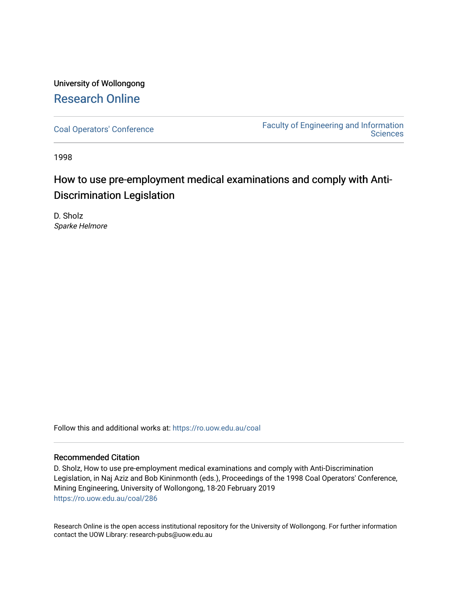## University of Wollongong [Research Online](https://ro.uow.edu.au/)

[Coal Operators' Conference](https://ro.uow.edu.au/coal) [Faculty of Engineering and Information](https://ro.uow.edu.au/eis)  **Sciences** 

1998

# How to use pre-employment medical examinations and comply with Anti-Discrimination Legislation

D. Sholz Sparke Helmore

Follow this and additional works at: [https://ro.uow.edu.au/coal](https://ro.uow.edu.au/coal?utm_source=ro.uow.edu.au%2Fcoal%2F286&utm_medium=PDF&utm_campaign=PDFCoverPages) 

#### Recommended Citation

D. Sholz, How to use pre-employment medical examinations and comply with Anti-Discrimination Legislation, in Naj Aziz and Bob Kininmonth (eds.), Proceedings of the 1998 Coal Operators' Conference, Mining Engineering, University of Wollongong, 18-20 February 2019 [https://ro.uow.edu.au/coal/286](https://ro.uow.edu.au/coal/286?utm_source=ro.uow.edu.au%2Fcoal%2F286&utm_medium=PDF&utm_campaign=PDFCoverPages) 

Research Online is the open access institutional repository for the University of Wollongong. For further information contact the UOW Library: research-pubs@uow.edu.au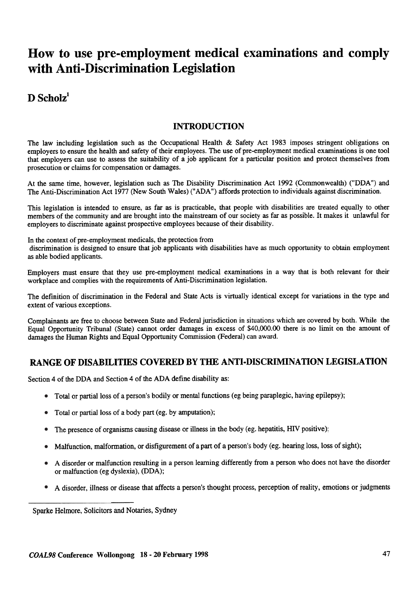# How to use pre-employment medical examinations and comply with Anti-Discrimination Legislation

## $D$  Scholz<sup>1</sup>

## INTRODUCTION

The law including legislation such as the Occupational Health & Safety Act 1983 imposes stringent obligations on employers to ensure the health and safety of their employees. The use of pre-employment medical examinations is one tool that employers can use to assess the suitability of a job applicant for a particular position and protect themselves from prosecution or claims for compensation or damages.

At the same time, however, legislation such as The Disability Discrimination Act 1992 (Commonwealth) ("DDA") and The Anti-Discrimination Act 1977 (New South Wales) ("ADA") affords protection to individuals against discrimination.

This legislation is intended to ensure, as far as is practicable, that people with disabilities are treated equally to other members of the community and are brought into the mainstream of our society as far as possible. It makes it unlawful for employers to discriminate against prospective employees because of their disability.

In the context of pre-employment medicals, the protection from

discrimination is designed to ensure that job applicants with disabilities have as much opportunity to obtain employment as able bodied applicants.

Employers must ensure that they use pre-employment medical examinations in a way that is both relevant for their workplace and complies with the requirements of Anti-Discrimination legislation.

The definition of discrimination in the Federal and State Acts is virtually identical except for variations in the type and extent of various exceptions.

Complainants are free to choose between State and Federal jurisdiction in situations which are covered by both. While the Equal Opportunity Tribunal (State) cannot order damages in excess of \$40,000.00 there is no limit on the amount of damages the Human Rights and Equal Opportunity Commission (Federal) can award.

## RANGE OF DISABILITIES COVERED BY THE ANTI-DISCRIMINATION LEGISLATION

Section 4 of the DDA and Section 4 of the ADA define disability as:

- Total or partial loss of a person's bodily or mental functions (eg being paraplegic, having epilepsy)
- Total or partial loss of a body part (eg. by amputation); •
- The presence of organisms causing disease or illness in the body (eg. hepatitis, HIV positive); •
- Malfunction, malformation, or disfigurement of a part of a person's body (eg. hearing loss, loss of sight)
- A disorder or malfunction resulting in a person learning differently from a person who does not have the disorde or malfunction (eg dyslexia), (DDA);
- A disorder, illness or disease that affects a person's thought process, perception of reality, emotions or judgments

Sparke Helmore, Solicitors and Notaries, Sydney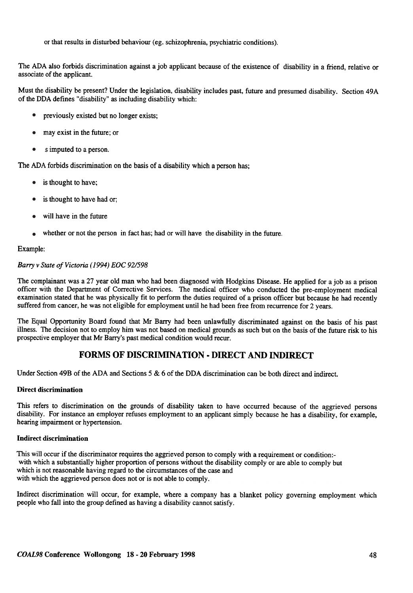or that results in disturbed behaviour (eg. schizophrenia, psychiatric conditions).

The ADA also forbids discrimination against a job applicant because of the existence of disability in a friend, relative or associate of the applicant.

Must the disability be present? Under the legislation, disability includes past, future and presumed disability. Section 49A of the DDA defines "disability" as including disability which:

- previously existed but no longer exists; •
- may exist in the future; or •
- s imputed to a person. •

The ADA forbids discrimination on the basis of a disability which a person has;

- is thought to have;
- is thought to have had or; •
- will have in the future •
- whether or not the person in fact has; had or will have the disability in the future. •

#### Example:

#### Barry v State of Victoria (1994) EOC 92/598

The complainant was a 27 year old man who had been diagnosed with Hodgkins Disease. He applied for a job as a prison officer with the Department of Corrective Services. The medical officer who conducted the pre-employment medical examination stated that he was physically fit to perform the duties required of a prison officer but because he had recently suffered from cancer, he was not eligible for employment until he had been free from recurrence for 2 years.

The Equal Opportunity Board found that Mr Barry had been unlawfully discriminated against on the basis of his past illness. The decision not to employ him was not based on medical grounds as such but on the basis of the future risk to his prospective employer that Mr Barry's past medical condition would recur.

## FORMS OF DISCRIMINATION. DIRECT AND INDIRECT

Under Section 49B of the ADA and Sections 5 & 6 of the DDA discrimination can be both direct and indirect.

#### Direct discrimination

This refers to discrimination on the grounds of disability taken to have occurred because of the aggrieved persons disability. For instance an employer refuses employment to an applicant simply because he has a disability, for example, hearing impairment or hypertension.

#### Indirect discrimination

This will occur if the discriminator requires the aggrieved person to comply with a requirement or condition: with which a substantially higher proportion of persons without the disability comply or are able to comply but which is not reasonable having regard to the circumstances of the case and with which the aggrieved person does not or is not able to comply.

Indirect discrimination will occur, for example, where a company has a blanket policy governing employment which people who fall into the group defined as having a disability cannot satisfy .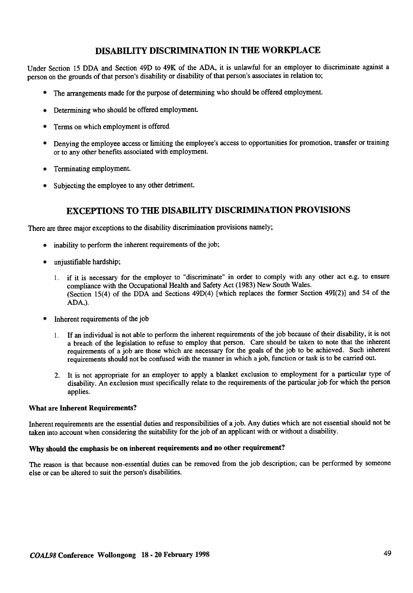## DISABILITY DISCRIMINATION IN THE WORKPLACE

Under Section 15 DDA and Section 49D to 49K of the ADA. it is unlawful for an employer to discriminate against a person on the grounds of that person's disability or disability of that person's associates in relation to;

- The arrangements made for the purpose of determining who should be offered employment. •
- Determining who should be offered employment
- Terms on which employment is offered. •
- Denying the employee access or limiting the employee's access to opportunities for promotion, transfer or training or to any other benefits associated with employment. •
- Terminating employment. •
- Subjecting the employee to any other detriment. •

## EXCEPTIONS TO THE DISABILITY DISCRIMINATION PROVISIONS

There are three major exceptions to the disability discrimination provisions namely;

- inability to perform the inherent requirements of the job; •
- unjustifiable hardship; •
	- if it is necessary for the employer to "discriminate" in order to comply with any other act e.g. to ensure 1. compliance with the Occupational Health and Safety Act (1983) New South Wales. (Section 15(4) of the DDA and Sections 49D(4) [which replaces the former Section 491(2)] and 54 of the ADA,).
- Inherent requirements of the job •
	- If an individual is not able to perform the inherent requirements of the job because of their disability, it is not 1.a breach of the legislation to refuse to employ that person. Care should be taken to note that the inherent requirements of a job are those which are necessary for the goals of the job to be achieved. Such inherent requirements should not be confused with the manner in which a job, function or task is to be carried out.
	- 2. It is not appropriate for an employer to apply a blanket exclusion to employment for a particular type of disability .An exclusion must specifically relate to the requirements of the particular job for which the person applies.

#### What are Inherent Requirements?

Inherent requirements are the essential duties and responsibilities of a job. Any duties which are not essential should not be taken into account when considering the suitability for the job of an applicant with or without a disability.

### Why should the emphasis be on inherent requirements and no other requirement?

The reason is that because non-essential duties can be removed from the job description; can be performed by someone else or can be altered to suit the person's disabilities.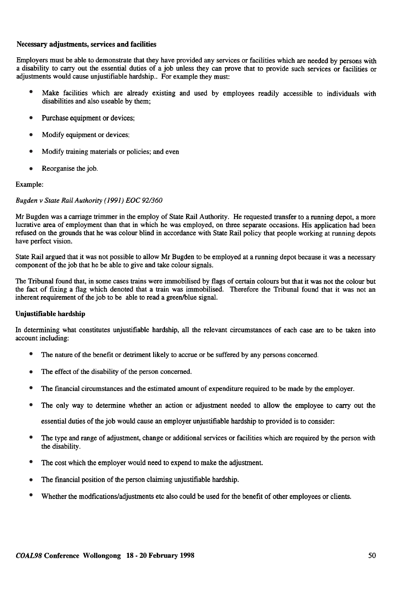#### Necessary adjustments, services and facilities

Employers must be able to demonstrate that they have provided any services or facilities which are needed by persons with a disability to carry out the essential duties of a job unless they can prove that to provide such services or facilities or adjustments would cause unjustifiable hardship.. For example they must:

- Make facilities which are already existing and used by employees readily accessible to individuals with disabilities and also useable by them; •
- Purchase equipment or devices; •
- Modify equipment or devices; •
- Modify training materials or policies; and even •
- Reorganise the job. •

#### Example:

#### Bugden v State Rail Authority ( 1991) EOC 92/360

Mr Bugden was a carriage trimmer in the employ of State Rail Authority. He requested transfer to a running depot. a more lucrative area of employment than that in which he was employed. on three separate occasions. His application had been refused on the grounds that he was colour blind in accordance with State Rail policy that people working at running depots have perfect vision.

State Rail argued that it was not possible to allow Mr Bugden to be employed at a running depot because it was a necessary component of the job that he be able to give and take colour signals.

The Tribunal found that, in some cases trains were immobilised by flags of certain colours but that it was not the colour but the fact of fixing a flag which denoted that a train was immobilised. Therefore the Tribunal found that it was not an inherent requirement of the job to be able to read a green/blue signal.

#### Unjustifiable hardship

In determining what constitutes unjustifiable hardship, all the relevant circumstances of each case are to be taken into account including:

- The nature of the benefit or detriment likely to accrue or be suffered by any persons concerned. •
- The effect of the disability of the person concerned. •
- The financial circumstances and the estimated amount of expenditure required to be made by the employer. •
- The only way to determine whether an action or adjustment needed to allow the employee to carry out the essential duties of the job would cause an employer unjustifiable hardship to provided is to consider: •
- The type and range of adjustment, change or additional services or facilities which are required by the person with the disability. •
- The cost which the employer would need to expend to make the adjustment. •
- The financial position of the person claiming unjustifiable hardship. •
- Whether the modfications/adjustments etc also could be used for the benefit of other employees or clients. •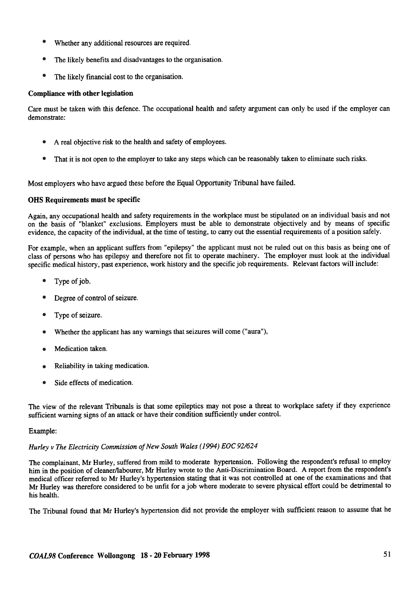- Whether any additional resources are required. •
- The likely benefits and disadvantages to the organisation. •
- The likely financial cost to the organisation. •

#### Compliance with other legislation

Care must be taken with this defence. The occupational health and safety argument can only be used if the employer can demonstrate:

- A real objective risk to the health and safety of employees. •
- That it is not open to the employer to take any steps which can be reasonably taken to eliminate such risks. •

Most employers who have argued these before the Equal Opportunity Tribunal have failed.

#### OHS Requirements must be specific

Again, any occupational health and safety requirements in the workplace must be stipulated on an individual basis and not on the basis of "blanket" exclusions. Employers must be able to demonstrate objectively and by means of specific evidence, the capacity of the individual, at the time of testing, to carry out the essential requirements of a position safely.

For example, when an applicant suffers from "epilepsy" the applicant must not be ruled out on this basis as being one of class of persons who has epilepsy and therefore not fit to operate machinery. The employer must look at the individual specific medical history, past experience, work history and the specific job requirements. Relevant factors will include:

- Type of job. •
- Degree of control of seizure. •
- Type of seizure. •
- Whether the applicant has any warnings that seizures will come ("aura"), •
- Medication taken. •
- Reliability in taking medication. •
- Side effects of medication. •

The view of the relevant Tribunals is that some epileptics may not pose a threat to workplace safety if they experience sufficient warning signs of an attack or have their condition sufficiently under control.

#### Example:

#### Hurley v The Electricity Commission of New South Wales (1994) EOC92/624

The complainant, Mr Hurley, suffered from mild to moderate hypertension. Following the respondent's refusal to employ him in the position of cleaner/labourer, Mr Hurley wrote to the Anti-Discrimination Board. A report from the respondent's medical officer referred to Mr Hurley's hypertension stating that it was not controlled at one of the examinations and that Mr Hurley was therefore considered to be unfit for a job where moderate to severe physical effort could be detrimental to his health.

The Tribunal found that Mr Hurley's hypertension did not provide the employer with sufficient reason to assume that he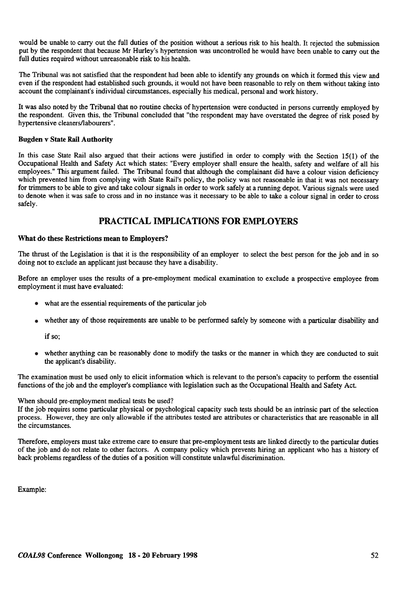would be unable to carry out the full duties of the position without a serious risk to his health. It rejected the submission put by the respondent that because Mr Hurley's hypertension was uncontrolled he would have been unable to carry out the full duties required without unreasonable risk to his health.

The Tribunal was not satisfied that the respondent had been able to identify any grounds on which it formed this view and even if the respondent had established such grounds, it would not have been reasonable to rely on them without taking into account the complainant's individual circumstances, especially his medical, personal and work history .

It was also noted by the Tribunal that no routine checks of hypertension were conducted in persons currently employed by the respondent. Given this, the Tribunal concluded that "the respondent may have overstated the degree of risk posed by hypertensive cleaners/labourers".

#### Bugden v State Rail Authority

In this case State Rail also argued that their actions were justified in order to comply with the Section 15(1) of the Occupational Health and Safety Act which states: "Every employer shall ensure the health, safety and welfare of all his employees." This argument failed. The Tribunal found that although the complainant did have a colour vision deficiency which prevented him from complying with State Rail's policy, the policy was not reasonable in that it was not necessary for trimmers to be able to give and take colour signals in order to work safely at a running depot. Various signals were used to denote when it was safe to cross and in no instance was it necessary to be able to take a colour signal in order to cross safely.

## PRACTICAL IMPLICATIONS FOR EMPLOYERS

#### What do these Restrictions mean to Employers?

The thrust of the Legislation is that it is the responsibility of an employer to select the best person for the job and in so doing not to exclude an applicant just because they have a disability.

Before an employer uses the results of a pre-employment medical examination to exclude a prospective employee from employment it must have evaluated:

- what are the essential requirements of the particular job
- whether any of those requirements are unable to be performed safely by someone with a particular disability and

if so;

• whether anything can be reasonably done to modify the tasks or the manner in which they are conducted to suit the applicant's disability.

The examination must be used only to elicit information which is relevant to the person's capacity to perform the essential functions of the job and the employer's compliance with legislation such as the Occupational Health and Safety Act.

#### When should pre-employment medical tests be used?

If the job requires some particular physical or psychological capacity such tests should be an intrinsic part of the selection process. However, they are only allowable if the attributes tested are attributes or characteristics that are reasonable in all the circumstances.

Therefore, employers must take extreme care to ensure that pre-employment tests are linked directly to the particular duties of the job and do not relate to other factors. A company policy which prevents hiring an applicant who has a history of back problems regardless of the duties of a position will constitute unlawful discrimination.

Example: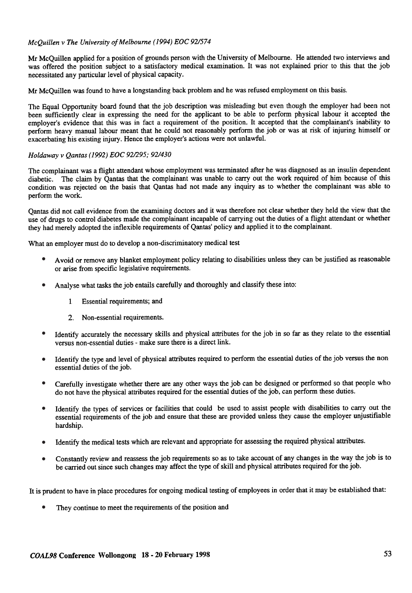#### McQuillen v The University of Melbourne ( 1994) EOC 92/574

Mr McQuillen applied for a position of grounds person with the University of Melbourne. He attended two interviews and was offered the position subject to a satisfactory medical examination. It was not explained prior to this that the job necessitated any particular level of physical capacity.

Mr McQuillen was found to have a longstanding back problem and he was refused employment on this basis.

The Equal Opportunity board found that the job description was misleading but even though the employer had been not been sufficiently clear in expressing the need for the applicant to be able to perform physical labour it accepted the employer's evidence that this was in fact a requirement of the position. It accepted that the complainant's inability to perform heavy manual labour meant that he could not reasonably perform the job or was at risk of injuring himself or exacerbating his existing injury. Hence the employer's actions were not unlawful.

#### Holdaway v Qantas ( 1992) EOC 921295; 92/430

The complainant was a flight attendant whose employment was terminated after he was diagnosed as an insulin dependent diabetic. The claim by Qantas that the complainant was unable to carry out the work required of him because of this condition was rejected on the basis that Qantas had not made any inquiry as to whether the complainant was able to perform the work.

Qantas did not call evidence from the examining doctors and it was therefore not clear whether they held the view that the use of drugs to control diabetes made the complainant incapable of carrying out the duties of a flight attendant or whether they had merely adopted the inflexible requirements of Qantas' policy and applied it to the complainant.

What an employer must do to develop a non-discriminatory medical test

- A void or remove any blanket employment policy relating to disabilities unless they can be justified as reasonable or arise from specific legislative requirements. •
- Analyse what tasks the job entails carefully and thoroughly and classify these into: •
	- 1 Essential requirements; and
	- 2. Non-essential requirements.
- Identify accurately the necessary skills and physical attributes for the job in so far as they relate to the essential versus non-essential duties - make sure there is a direct link. •
- Identify the type and level of physical attributes required to perform the essential duties of the job versus the non essential duties of the job. •
- Carefully investigate whether there are any other ways the job can be designed or performed so that people who do not have the physical attributes required for the essential duties of the job, can perform these duties. •
- Identify the types of services or facilities that could be used to assist people with disabilities to carry out the essential requirements of the job and ensure that these are provided unless they cause the employer unjustifiable hardship. •
- Identify the medical tests which are relevant and appropriate for assessing the required physical attributes. •
- Constantly review and reassess the job requirements so as to take account of any changes in the way the job is to be carried out since such changes may affect the type of skill and physical attributes required for the job. •

It is prudent to have in place procedures for ongoing medical testing of employees in order that it may be established that:

They continue to meet the requirements of the position and •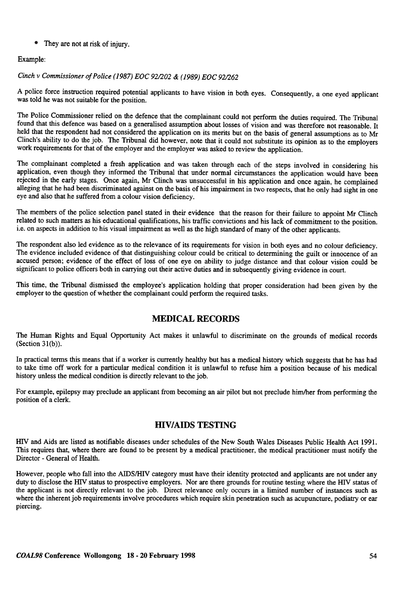• They are not at risk of injury.

#### Example:

#### Cinch v Commissioner of Police ( 1987) EOC 92/202 & ( 1989) EOC 92/262

A police force instruction required potential applicants to have vision in both eyes. Consequently, a one eyed applicant was told he was not suitable for the position.

The Police Commissioner relied on the defence that the complainant could not perform the duties required. The Tribunal found that this defence was based on a generalised assumption about losses of vision and was therefore not reasonable. It held that the respondent had not considered the application on its merits but on the basis of general assumptions as to Mr Clinch's ability to do the job. The Tribunal did however, note that it could not substitute its opinion as to the employers work requirements for that of the employer and the employer was asked to review the application.

The complainant completed a fresh application and was taken through each of the steps involved in considering his application, even though they informed the Tribunal that under normal circumstances the application would have been rejected in the early stages. Once again, Mr Clinch was unsuccessful in his application and once again, he complained alleging that he had been discriminated against on the basis of his impairment in two respects, that he only had sight in one eye and also that he suffered from a colour vision deficiency.

The members of the police selection panel stated in their evidence that the reason for their failure to appoint Mr Clinch related to such matters as his educational qualifications, his traffic convictions and his lack of commitment to the position. i.e. on aspects in addition to his visual impairment as well as the high standard of many of the other applicants.

The respondent also led evidence as to the relevance of its requirements for vision in both eyes and no colour deficiency. The evidence included evidence of that distinguishing colour could be critical to determining the guilt or innocence of an accused person; evidence of the effect of loss of one eye on ability to judge distance and that colour vision could be significant to police officers both in carrying out their active duties and in subsequently giving evidence in court.

This time, the Tribunal dismissed the employee's application holding that proper consideration had been given by the employer to the question of whether the complainant could perform the required tasks.

## MEDICAL RECORDS

The Human Rights and Equal Opportunity Act makes it unlawful to discriminate on the grounds of medical records (Section 31(b)).

In practical terms this means that if a worker is currently healthy but has a medical history which suggests that he has had to take time off work for a particular medical condition it is unlawful to refuse him a position because of his medical history unless the medical condition is directly relevant to the job.

For example, epilepsy may preclude an applicant from becoming an air pilot but not preclude him/her from performing the position of a clerk.

## HIV/AIDS TESTING

HIV and Aids are listed as notifiable diseases under schedules of the New South Wales Diseases Public Health Act 1991. This requires that, where there are found to be present by a medical practitioner, the medical practitioner must notify the Director - General of Health.

However, people who fall into the AIDS/HN category must have their identity protected and applicants are not under any duty to disclose the HIV status to prospective employers. Nor are there grounds for routine testing where the HIV status of the applicant is not directly relevant to the job. Direct relevance only occurs in a limited number of instances such as where the inherent job requirements involve procedures which require skin penetration such as acupuncture, podiatry or ear piercing.